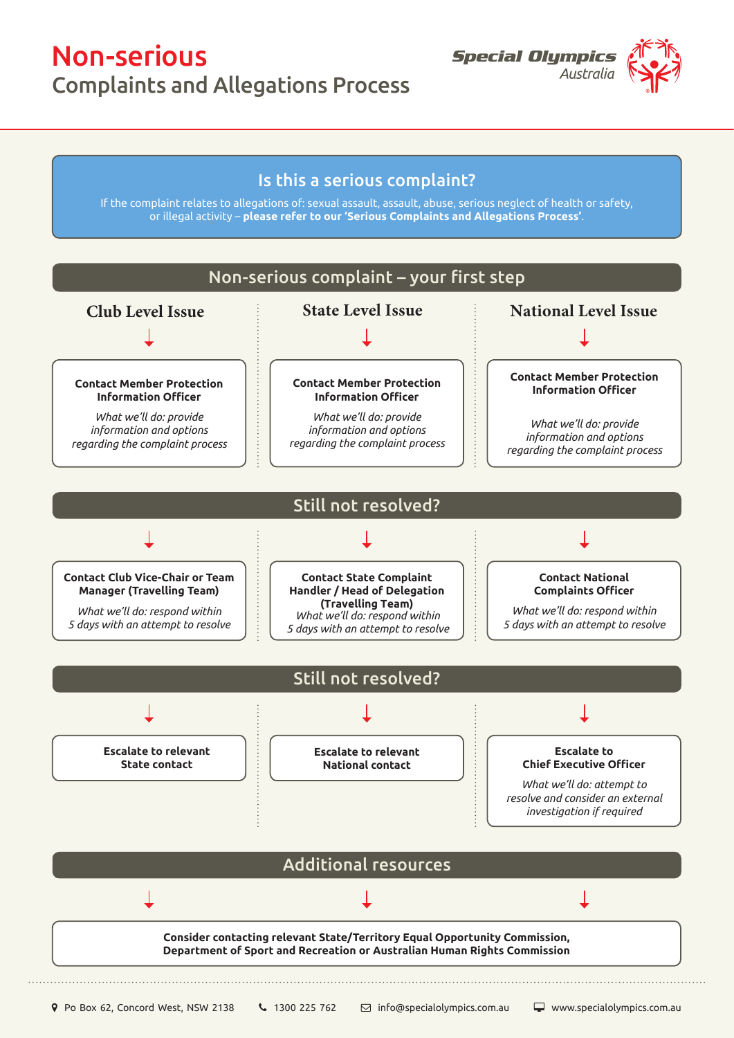## Non-serious

Complaints and Allegations Process



## Is this a serious complaint?

If the complaint relates to allegations of: sexual assault, assault, abuse, serious neglect of health or safety, or illegal activity – **please refer to our 'Serious Complaints and Allegations Process'**.